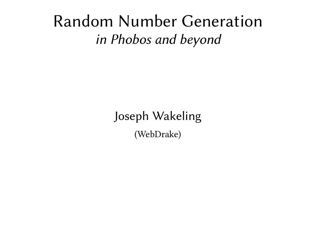#### Random Number Generation *in Phobos and beyond*

Joseph Wakeling (WebDrake)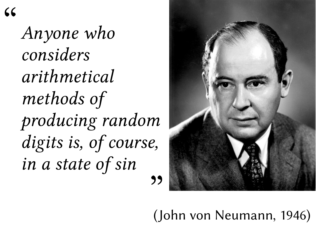$C$ 

*Anyone who considers arithmetical methods of producing random digits is, of course, in a state of sin*



(John von Neumann, 1946)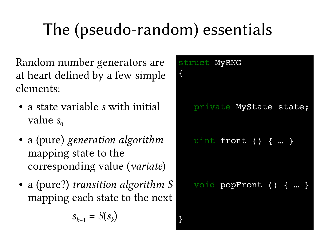# The (pseudo-random) essentials

Random number generators are at heart defined by a few simple elements:

- a state variable *s* with initial value  $s_0$
- a (pure) *generation algorithm* mapping state to the corresponding value (*variate*)
- a (pure?) *transition algorithm S* mapping each state to the next

$$
s_{k+1} = S(s_k)
$$

| $\{$ | struct MyRNG |                        |  |  |
|------|--------------|------------------------|--|--|
|      |              | private MyState state; |  |  |
|      |              | uint front () {  }     |  |  |
|      |              | void popFront () {  }  |  |  |
|      |              |                        |  |  |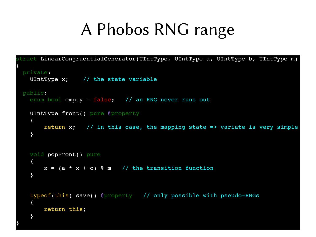### A Phobos RNG range

```
struct LinearCongruentialGenerator(UIntType, UIntType a, UIntType b, UIntType m)
{
    private:
    UIntType x; // the state variable
    public:
    enum bool empty = false; // an RNG never runs out
        UIntType front() pure @property
        {
        return x; \frac{1}{\sin \theta} in this case, the mapping state => variate is very simple
        }
        void popFront() pure
        {
        x = (a * x + c) % m // the transition function
        }
    typeof(this) save() @property // only possible with pseudo-RNGs
        {
                return this;
    }
}
```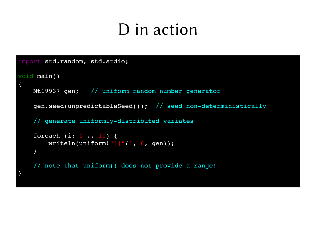### D in action

```
import std.random, std.stdio;
void main()
{
        Mt19937 gen;   // uniform random number generator
    gen.seed(unpredictableSeed()); // seed non-deterministically
    // generate uniformly-distributed variates
    foreach (i; 0 \ldots 10) {
        writeln(uniform!"[]"(1, 6, gen));
        }
        // note that uniform() does not provide a range!
}
```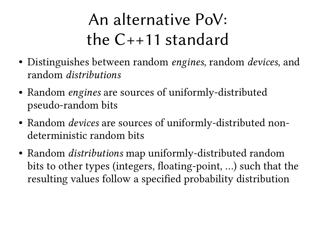## An alternative PoV: the C++11 standard

- Distinguishes between random *engines*, random *devices*, and random *distributions*
- Random *engines* are sources of uniformly-distributed pseudo-random bits
- Random *devices* are sources of uniformly-distributed nondeterministic random bits
- Random *distributions* map uniformly-distributed random bits to other types (integers, floating-point, …) such that the resulting values follow a specified probability distribution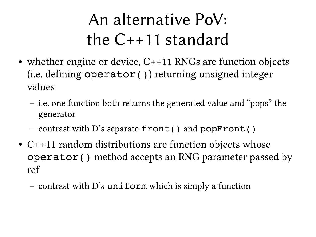## An alternative PoV: the C++11 standard

- whether engine or device,  $C++11$  RNGs are function objects (i.e. defining operator()) returning unsigned integer values
	- i.e. one function both returns the generated value and "pops" the generator
	- contrast with D's separate front() and popFront()
- $C++11$  random distributions are function objects whose operator() method accepts an RNG parameter passed by ref
	- contrast with D's uniform which is simply a function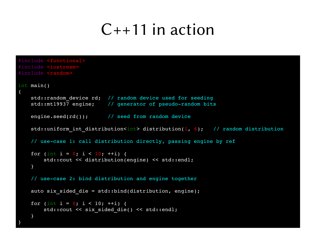### $C++11$  in action

```
#include <functional>
#include <iostream>
#include <random>
int main()
{
   std::random device rd; // random device used for seeding
   std::mt19937 engine; // generator of pseudo-random bits
    engine.seed(rd()); // seed from random device
   std::uniform int distribution<int> distribution(1, 6); // random distribution
   // use-case 1: call distribution directly, passing engine by ref
   for (int i = 0; i < 10; ++i) {
               std::cout << distribution(engine) << std::endl;
        }
   // use-case 2: bind distribution and engine together
   auto six sided die = std::bind(distribution, engine);
   for (int i = 0; i < 10; ++i) {
        std::cout << six sided die() << std::endl;
        }
}
```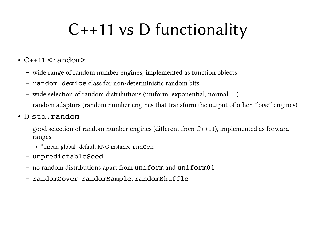## C++11 vs D functionality

- $\cdot$  C++11 <random>
	- wide range of random number engines, implemented as function objects
	- random device class for non-deterministic random bits
	- wide selection of random distributions (uniform, exponential, normal, …)
	- random adaptors (random number engines that transform the output of other, "base" engines)
- D std.random
	- good selection of random number engines (different from C++11), implemented as forward ranges
		- "thread-global" default RNG instance rndGen
	- unpredictableSeed
	- no random distributions apart from uniform and uniform01
	- randomCover, randomSample, randomShuffle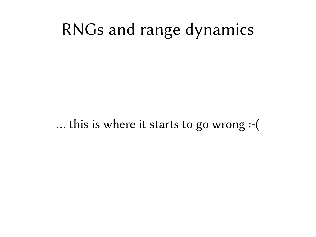### RNGs and range dynamics

… this is where it starts to go wrong :-(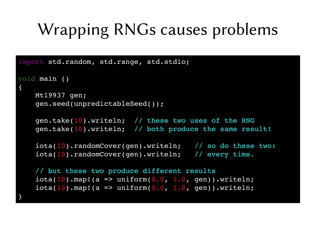## Wrapping RNGs causes problems

```
import std.random, std.range, std.stdio;
void main ()
{
        Mt19937 gen;
        gen.seed(unpredictableSeed());
        gen.take(10).writeln;  // these two uses of the RNG
        gen.take(10).writeln;  // both produce the same result!
        iota(10).randomCover(gen).writeln;   // so do these two:
        iota(10).randomCover(gen).writeln;   // every time.
        // but these two produce different results
    iota(10).map!(a => uniform(0.0, 1.0, gen)).writeln;
    iota(10).map!(a => uniform(0.0, 1.0, gen)).writeln;
}
```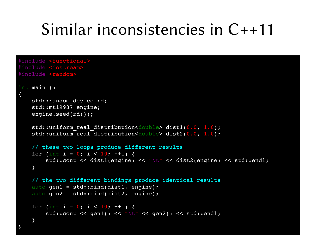### Similar inconsistencies in C++11

```
#include <functional>
#include <iostream>
#include <random>
int main ()
{   
    std::random device rd;
        std::mt19937 engine;
    engine.seed(rd());
    std::uniform real distribution<double> dist1(0.0, 1.0);
    std::uniform real distribution<double> dist2(0.0, 1.0);
        // these two loops produce different results
    for (int i = 0; i < 10; +1) {
                std::cout << dist1(engine) << "\t" << dist2(engine) << std::endl;
        }
        // the two different bindings produce identical results
        auto gen1 = std::bind(dist1, engine);
        auto gen2 = std::bind(dist2, engine);
    for (int i = 0; i < 10; ++i) {
        std::cout << gen1() << "\t" << gen2() << std::endl;
    }
}
```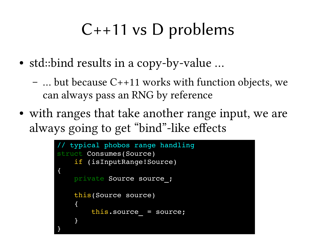## C++11 vs D problems

- std::bind results in a copy-by-value ...
	- … but because C++11 works with function objects, we can always pass an RNG by reference
- with ranges that take another range input, we are always going to get "bind"-like effects

```
typical phobos range handling
struct Consumes(Source)
        if (isInputRange!Source)
{
        private Source source_;
        this(Source source)
    {
        this.source = source;
    }
}
```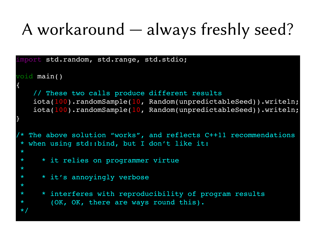## A workaround — always freshly seed?

```
import std.random, std.range, std.stdio;
void main()
{
        // These two calls produce different results
    iota(100).randomSample(10, Random(unpredictableSeed)).writeln;
        iota(100).randomSample(10, Random(unpredictableSeed)).writeln;
}
  The above solution "works", and reflects C++11 recommendations
 * when using std::bind, but I don't like it:
 *
 *    * it relies on programmer virtue
 *
 *    * it's annoyingly verbose
 *
 *    * interferes with reproducibility of program results
 *      (OK, OK, there are ways round this).
 \star ,
```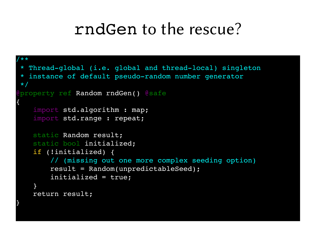```
/**
* Thread-global (i.e. global and thread-local) singleton
 * instance of default pseudo-random number generator
*/
 property ref Random rndGen() @safe
{
        import std.algorithm : map;
        import std.range : repeat;
        static Random result;
        static bool initialized;
        if (!initialized) {
                 // (missing out one more complex seeding option)
                 result = Random(unpredictableSeed);
                 initialized = true;
        }
        return result;
}
```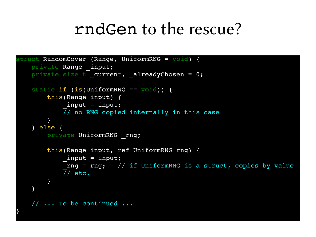```
struct RandomCover (Range, UniformRNG = void) {
    private Range input;
    private size t current, alreadyChosen = 0;
    static if (is(UniformRNG == void)) {
                this(Range input) {
                         _input = input;
             \overline{7}/ no RNG copied internally in this case
        }
        } else {
        private UniformRNG rng;
                this(Range input, ref UniformRNG rng) {
                         _input = input;
              rng = rng; // if UniformRNG is a struct, copies by value
             7/ etc.
        }
        }
        // ... to be continued ...
}
```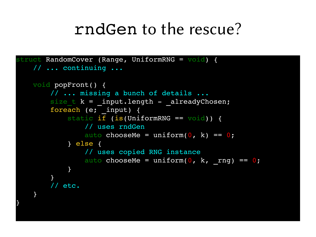```
struct RandomCover (Range, UniformRNG = void) {
        // ... continuing ...
        void popFront() {
                 // ... missing a bunch of details ...
         size t k = input.length - _alreadyChosen;
         foreach (e; input) {
              static if (is(UniformRNG == void)) {
                                   // uses rndGen
                   auto chooseMe = uniform(0, k) == 0;
                          } else {
                                   // uses copied RNG instance
                   auto chooseMe = uniform(0, k, rng) == 0;
            }
        }
                 // etc.
        }
}
```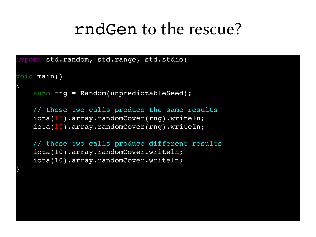```
import std.random, std.range, std.stdio;
```

```
void main()
```
{

}

```
    auto rng = Random(unpredictableSeed);
```

```
    // these two calls produce the same results
    iota(10).array.randomCover(rng).writeln;
    iota(10).array.randomCover(rng).writeln;
```

```
    // these two calls produce different results
    iota(10).array.randomCover.writeln;
    iota(10).array.randomCover.writeln;
```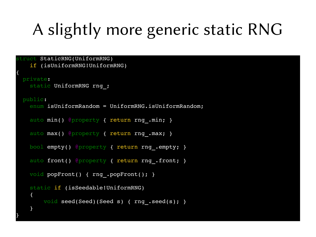## A slightly more generic static RNG

```
struct StaticRNG(UniformRNG)
        if (isUniformRNG!UniformRNG)
{
    private:
    static UniformRNG rng ;
   public:
    enum isUniformRandom = UniformRNG.isUniformRandom;
    auto min() @property { return rng.min; }
    auto max() @property { return rng.max; }
        bool empty() @property { return rng_.empty; }
    auto front() @property { return rng .front; }
    void popFront() { rng .popFront(); }
        static if (isSeedable!UniformRNG)
    \{void seed(Seed)(Seed s) { rng .seed(s); }
    }
```
}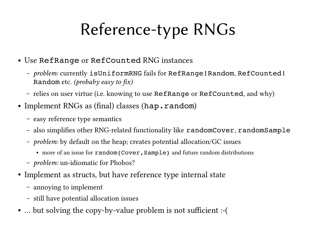## Reference-type RNGs

- Use RefRange or RefCounted RNG instances
	- *problem:* currently isUniformRNG fails for RefRange!Random, RefCounted! Random etc. *(probaby easy to fix)*
	- relies on user virtue (i.e. knowing to use RefRange or RefCounted, and why)
- Implement RNGs as (final) classes (hap.random)
	- easy reference type semantics
	- also simplifies other RNG-related functionality like randomCover, randomSample
	- *problem:* by default on the heap; creates potential allocation/GC issues
		- more of an issue for random{Cover, Sample} and future random distributions
	- *problem:* un-idiomatic for Phobos?
- Implement as structs, but have reference type internal state
	- annoying to implement
	- still have potential allocation issues
- ... but solving the copy-by-value problem is not sufficient :-(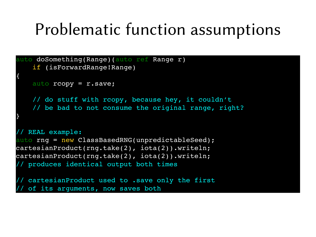### Problematic function assumptions

```
auto doSomething(Range)(auto ref Range r)
        if (isForwardRange!Range)
{
        auto rcopy = r.save;
        // do stuff with rcopy, because hey, it couldn't
    // be bad to not consume the original range, right?
}
// REAL example:
auto rng = new ClassBasedRNG(unpredictableSeed);
cartesianProduct(rng.take(2), iota(2)).writeln;
cartesianProduct(rng.take(2), iota(2)).writeln;
// produces identical output both times
// cartesianProduct used to .save only the first
  of its arguments, now saves both
```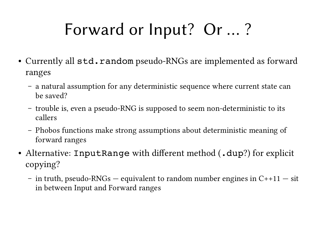## Forward or Input? Or … ?

- Currently all  $std$ .random pseudo-RNGs are implemented as forward ranges
	- a natural assumption for any deterministic sequence where current state can be saved?
	- trouble is, even a pseudo-RNG is supposed to seem non-deterministic to its callers
	- Phobos functions make strong assumptions about deterministic meaning of forward ranges
- Alternative: InputRange with different method (.dup?) for explicit copying?
	- in truth, pseudo-RNGs equivalent to random number engines in  $C+11$  sit in between Input and Forward ranges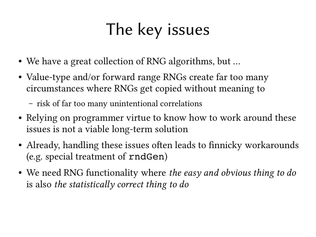## The key issues

- We have a great collection of RNG algorithms, but ...
- Value-type and/or forward range RNGs create far too many circumstances where RNGs get copied without meaning to
	- risk of far too many unintentional correlations
- Relying on programmer virtue to know how to work around these issues is not a viable long-term solution
- Already, handling these issues often leads to finnicky workarounds (e.g. special treatment of rndGen)
- We need RNG functionality where *the easy and obvious thing to do* is also *the statistically correct thing to do*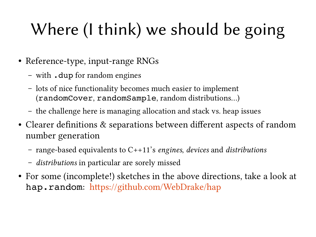# Where (I think) we should be going

- Reference-type, input-range RNGs
	- with .dup for random engines
	- lots of nice functionality becomes much easier to implement (randomCover, randomSample, random distributions…)
	- the challenge here is managing allocation and stack vs. heap issues
- Clearer definitions & separations between different aspects of random number generation
	- range-based equivalents to C++11's *engines*, *devices* and *distributions*
	- *distributions* in particular are sorely missed
- For some (incomplete!) sketches in the above directions, take a look at hap.random: https://github.com/WebDrake/hap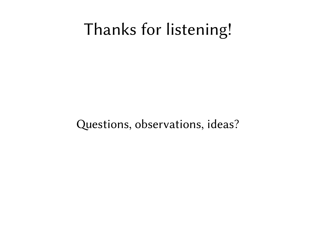### Thanks for listening!

Questions, observations, ideas?